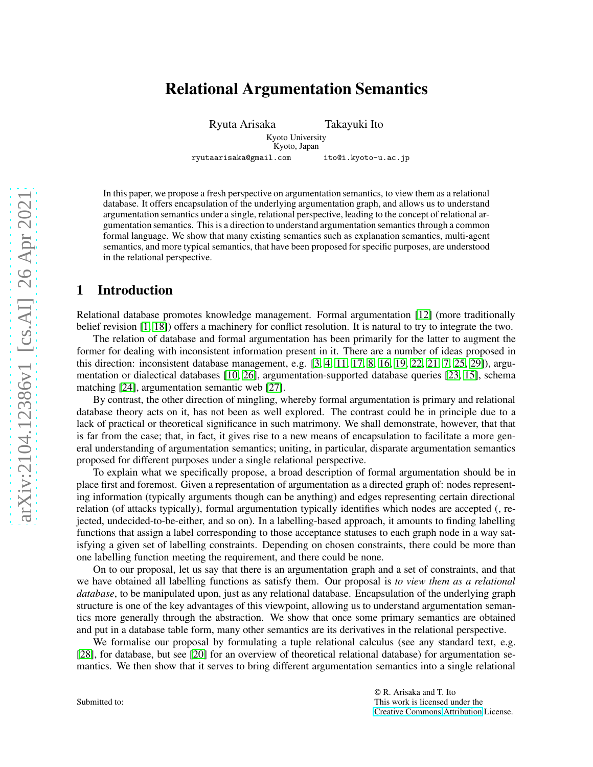# Relational Argumentation Semantics

Ryuta Arisaka Takayuki Ito Kyoto University Kyoto, Japan

ryutaarisaka@gmail.com ito@i.kyoto-u.ac.jp

In this paper, we propose a fresh perspective on argumentation semantics, to view them as a relational database. It offers encapsulation of the underlying argumentation graph, and allows us to understand argumentation semantics under a single, relational perspective, leading to the concept of relational argumentation semantics. This is a direction to understand argumentation semantics through a common formal language. We show that many existing semantics such as explanation semantics, multi-agent semantics, and more typical semantics, that have been proposed for specific purposes, are understood in the relational perspective.

### 1 Introduction

Relational database promotes knowledge management. Formal argumentation [\[12\]](#page-9-0) (more traditionally belief revision [\[1,](#page-8-0) [18\]](#page-9-1)) offers a machinery for conflict resolution. It is natural to try to integrate the two.

The relation of database and formal argumentation has been primarily for the latter to augment the former for dealing with inconsistent information present in it. There are a number of ideas proposed in this direction: inconsistent database management, e.g. [\[3,](#page-8-1) [4,](#page-9-2) [11,](#page-9-3) [17,](#page-9-4) [8,](#page-9-5) [16,](#page-9-6) [19,](#page-9-7) [22,](#page-9-8) [21,](#page-9-9) [7,](#page-9-10) [25,](#page-9-11) [29\]](#page-9-12)), argumentation or dialectical databases [\[10,](#page-9-13) [26\]](#page-9-14), argumentation-supported database queries [\[23,](#page-9-15) [15\]](#page-9-16), schema matching [\[24\]](#page-9-17), argumentation semantic web [\[27\]](#page-9-18).

By contrast, the other direction of mingling, whereby formal argumentation is primary and relational database theory acts on it, has not been as well explored. The contrast could be in principle due to a lack of practical or theoretical significance in such matrimony. We shall demonstrate, however, that that is far from the case; that, in fact, it gives rise to a new means of encapsulation to facilitate a more general understanding of argumentation semantics; uniting, in particular, disparate argumentation semantics proposed for different purposes under a single relational perspective.

To explain what we specifically propose, a broad description of formal argumentation should be in place first and foremost. Given a representation of argumentation as a directed graph of: nodes representing information (typically arguments though can be anything) and edges representing certain directional relation (of attacks typically), formal argumentation typically identifies which nodes are accepted (, rejected, undecided-to-be-either, and so on). In a labelling-based approach, it amounts to finding labelling functions that assign a label corresponding to those acceptance statuses to each graph node in a way satisfying a given set of labelling constraints. Depending on chosen constraints, there could be more than one labelling function meeting the requirement, and there could be none.

On to our proposal, let us say that there is an argumentation graph and a set of constraints, and that we have obtained all labelling functions as satisfy them. Our proposal is *to view them as a relational database*, to be manipulated upon, just as any relational database. Encapsulation of the underlying graph structure is one of the key advantages of this viewpoint, allowing us to understand argumentation semantics more generally through the abstraction. We show that once some primary semantics are obtained and put in a database table form, many other semantics are its derivatives in the relational perspective.

We formalise our proposal by formulating a tuple relational calculus (see any standard text, e.g. [\[28\]](#page-9-19), for database, but see [\[20\]](#page-9-20) for an overview of theoretical relational database) for argumentation semantics. We then show that it serves to bring different argumentation semantics into a single relational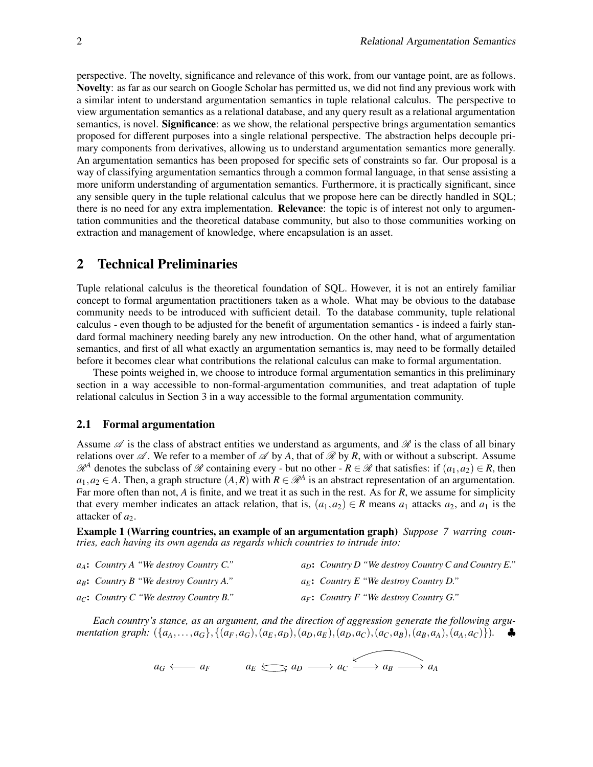perspective. The novelty, significance and relevance of this work, from our vantage point, are as follows. Novelty: as far as our search on Google Scholar has permitted us, we did not find any previous work with a similar intent to understand argumentation semantics in tuple relational calculus. The perspective to view argumentation semantics as a relational database, and any query result as a relational argumentation semantics, is novel. **Significance**: as we show, the relational perspective brings argumentation semantics proposed for different purposes into a single relational perspective. The abstraction helps decouple primary components from derivatives, allowing us to understand argumentation semantics more generally. An argumentation semantics has been proposed for specific sets of constraints so far. Our proposal is a way of classifying argumentation semantics through a common formal language, in that sense assisting a more uniform understanding of argumentation semantics. Furthermore, it is practically significant, since any sensible query in the tuple relational calculus that we propose here can be directly handled in SQL; there is no need for any extra implementation. **Relevance**: the topic is of interest not only to argumentation communities and the theoretical database community, but also to those communities working on extraction and management of knowledge, where encapsulation is an asset.

### 2 Technical Preliminaries

Tuple relational calculus is the theoretical foundation of SQL. However, it is not an entirely familiar concept to formal argumentation practitioners taken as a whole. What may be obvious to the database community needs to be introduced with sufficient detail. To the database community, tuple relational calculus - even though to be adjusted for the benefit of argumentation semantics - is indeed a fairly standard formal machinery needing barely any new introduction. On the other hand, what of argumentation semantics, and first of all what exactly an argumentation semantics is, may need to be formally detailed before it becomes clear what contributions the relational calculus can make to formal argumentation.

These points weighed in, we choose to introduce formal argumentation semantics in this preliminary section in a way accessible to non-formal-argumentation communities, and treat adaptation of tuple relational calculus in Section 3 in a way accessible to the formal argumentation community.

#### 2.1 Formal argumentation

Assume  $\mathscr A$  is the class of abstract entities we understand as arguments, and  $\mathscr R$  is the class of all binary relations over  $\mathscr A$ . We refer to a member of  $\mathscr A$  by A, that of  $\mathscr R$  by R, with or without a subscript. Assume  $\mathcal{R}^A$  denotes the subclass of  $\mathcal R$  containing every - but no other -  $R \in \mathcal R$  that satisfies: if  $(a_1, a_2) \in R$ , then  $a_1, a_2 \in A$ . Then, a graph structure  $(A, R)$  with  $R \in \mathcal{R}^A$  is an abstract representation of an argumentation. Far more often than not, *A* is finite, and we treat it as such in the rest. As for *R*, we assume for simplicity that every member indicates an attack relation, that is,  $(a_1, a_2) \in R$  means  $a_1$  attacks  $a_2$ , and  $a_1$  is the attacker of  $a_2$ .

Example 1 (Warring countries, an example of an argumentation graph) *Suppose 7 warring countries, each having its own agenda as regards which countries to intrude into:*

| $a_A$ : Country A "We destroy Country C."             | $a_D$ : Country D "We destroy Country C and Country E." |
|-------------------------------------------------------|---------------------------------------------------------|
| $a_B$ : Country B "We destroy Country A."             | $a_E$ : Country E "We destroy Country D."               |
| $a_{\mathcal{C}}$ : Country C "We destroy Country B." | $a_F$ : Country F "We destroy Country G."               |

*Each country's stance, as an argument, and the direction of aggression generate the following argu*mentation graph:  $(\{a_A, \ldots, a_G\}, \{(a_F, a_G), (a_E, a_D), (a_D, a_E), (a_D, a_C), (a_C, a_B), (a_B, a_A), (a_A, a_C)\}).$ 

 $a_G \longleftrightarrow a_F$   $a_E \longleftrightarrow a_D \longrightarrow a_C \longleftrightarrow a_B \longrightarrow a_A$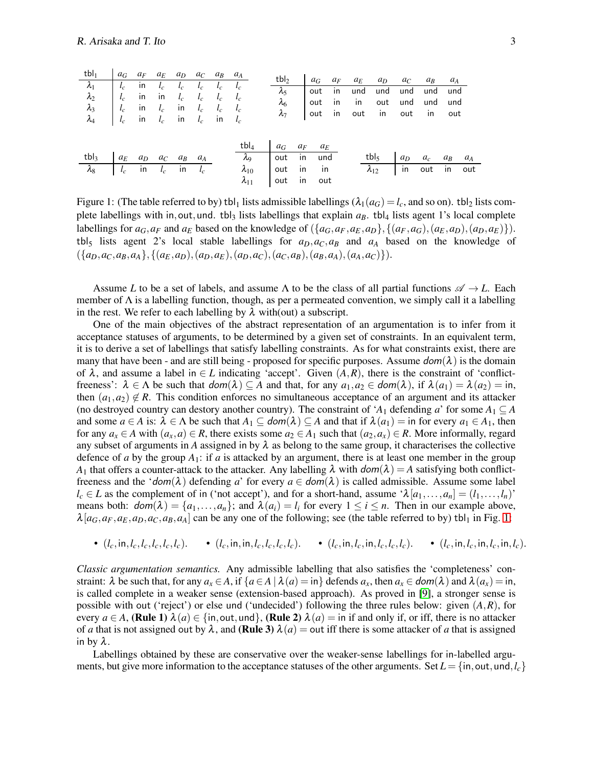| tbl <sub>1</sub> $a_G a_F a_E a_D a_C a_B a_A$                                                                                                                                                                                                                                                                                                                              |  |  |  |  |                                |                        |  |                                                                                          |                                          |  |  |  |
|-----------------------------------------------------------------------------------------------------------------------------------------------------------------------------------------------------------------------------------------------------------------------------------------------------------------------------------------------------------------------------|--|--|--|--|--------------------------------|------------------------|--|------------------------------------------------------------------------------------------|------------------------------------------|--|--|--|
|                                                                                                                                                                                                                                                                                                                                                                             |  |  |  |  |                                |                        |  | tbl <sub>2</sub> $a_G a_F a_E a_D a_C a_B a_A$<br>$\lambda_5$ out in und und und und und |                                          |  |  |  |
|                                                                                                                                                                                                                                                                                                                                                                             |  |  |  |  |                                |                        |  | out in in out und und und                                                                |                                          |  |  |  |
| $\begin{tabular}{ c c c c c c c c } \hline $\lambda_1$ & $l_c$ & in & $l_c$ & $l_c$ & $l_c$ & $l_c$ & $l_c$ & $l_c$ & $l_c$ \\ \hline $\lambda_2$ & $l_c$ & in & in & $l_c$ & $l_c$ & $l_c$ & $l_c$ & $l_c$ \\ $\lambda_3$ & $l_c$ & in & $l_c$ & in & $l_c$ & $l_c$ & $l_c$ & $l_c$ \\ $\lambda_4$ & $l_c$ & in & $l_c$ & in & $l_c$ & in & $l_c$ \\ \hline \end{tabular}$ |  |  |  |  | $\frac{\lambda_6}{\lambda_7}$  |                        |  | out in out in out in out                                                                 |                                          |  |  |  |
|                                                                                                                                                                                                                                                                                                                                                                             |  |  |  |  |                                |                        |  |                                                                                          |                                          |  |  |  |
|                                                                                                                                                                                                                                                                                                                                                                             |  |  |  |  |                                |                        |  |                                                                                          |                                          |  |  |  |
|                                                                                                                                                                                                                                                                                                                                                                             |  |  |  |  | tbl <sub>4</sub> $a_G a_F a_E$ |                        |  |                                                                                          |                                          |  |  |  |
| tbl <sub>3</sub> $a_E$ $a_D$ $a_C$ $a_B$ $a_A$                                                                                                                                                                                                                                                                                                                              |  |  |  |  |                                | $\lambda_9$ out in und |  |                                                                                          | tbl <sub>5</sub> $a_D \ a_c \ a_B \ a_A$ |  |  |  |
| $\lambda_8$ $l_c$ in $l_c$ in $l_c$                                                                                                                                                                                                                                                                                                                                         |  |  |  |  | $\lambda_{10}$ out in in       |                        |  |                                                                                          | $\lambda_{12}$ in out in out             |  |  |  |
|                                                                                                                                                                                                                                                                                                                                                                             |  |  |  |  | $\lambda_{11}$ out in out      |                        |  |                                                                                          |                                          |  |  |  |

<span id="page-2-0"></span>Figure 1: (The table referred to by) tbl<sub>1</sub> lists admissible labellings ( $\lambda_1(a_G) = l_c$ , and so on). tbl<sub>2</sub> lists complete labellings with in, out, und. tbl<sub>3</sub> lists labellings that explain  $a_B$ . tbl<sub>4</sub> lists agent 1's local complete labellings for  $a_G, a_F$  and  $a_E$  based on the knowledge of  $({a_G, a_F, a_E, a_D}, {a_F, a_G}, {a_E, a_D}, {a_D, a_E})$ . tbl<sub>5</sub> lists agent 2's local stable labellings for  $a<sub>D</sub>, a<sub>C</sub>, a<sub>B</sub>$  and  $a<sub>A</sub>$  based on the knowledge of  $({a_D,a_C,a_B,a_A}, {a_E,a_D}, (a_D,a_E), (a_D,a_C), (a_C,a_B), (a_B,a_A), (a_A,a_C)$ .

Assume *L* to be a set of labels, and assume  $\Lambda$  to be the class of all partial functions  $\mathscr{A} \to L$ . Each member of  $\Lambda$  is a labelling function, though, as per a permeated convention, we simply call it a labelling in the rest. We refer to each labelling by  $\lambda$  with(out) a subscript.

One of the main objectives of the abstract representation of an argumentation is to infer from it acceptance statuses of arguments, to be determined by a given set of constraints. In an equivalent term, it is to derive a set of labellings that satisfy labelling constraints. As for what constraints exist, there are many that have been - and are still being - proposed for specific purposes. Assume  $dom(\lambda)$  is the domain of  $\lambda$ , and assume a label in  $\in L$  indicating 'accept'. Given  $(A, R)$ , there is the constraint of 'conflictfreeness':  $\lambda \in \Lambda$  be such that  $dom(\lambda) \subseteq A$  and that, for any  $a_1, a_2 \in dom(\lambda)$ , if  $\lambda(a_1) = \lambda(a_2) = \text{in}$ , then  $(a_1, a_2) \notin R$ . This condition enforces no simultaneous acceptance of an argument and its attacker (no destroyed country can destory another country). The constraint of ' $A_1$  defending *a*' for some  $A_1 \subseteq A$ and some  $a \in A$  is:  $\lambda \in \Lambda$  be such that  $A_1 \subseteq \text{dom}(\lambda) \subseteq A$  and that if  $\lambda(a_1) =$  in for every  $a_1 \in A_1$ , then for any  $a_x \in A$  with  $(a_x, a) \in R$ , there exists some  $a_2 \in A_1$  such that  $(a_2, a_x) \in R$ . More informally, regard any subset of arguments in *A* assigned in by  $\lambda$  as belong to the same group, it characterises the collective defence of *a* by the group *A*1: if *a* is attacked by an argument, there is at least one member in the group *A*<sub>1</sub> that offers a counter-attack to the attacker. Any labelling  $\lambda$  with  $dom(\lambda) = A$  satisfying both conflictfreeness and the ' $dom(\lambda)$  defending *a*' for every  $a \in dom(\lambda)$  is called admissible. Assume some label  $l_c \in L$  as the complement of in ('not accept'), and for a short-hand, assume ' $\lambda[a_1,\ldots,a_n]=(l_1,\ldots,l_n)$ ' means both:  $dom(\lambda) = \{a_1, \ldots, a_n\}$ ; and  $\lambda(a_i) = l_i$  for every  $1 \le i \le n$ . Then in our example above,  $\lambda[a_G, a_F, a_E, a_D, a_C, a_B, a_A]$  can be any one of the following; see (the table referred to by) tbl<sub>1</sub> in Fig. [1:](#page-2-0)

• 
$$
(l_c, \text{in}, l_c, l_c, l_c, l_c)
$$
. •  $(l_c, \text{in}, \text{in}, l_c, l_c, l_c)$ . •  $(l_c, \text{in}, l_c, \text{in}, l_c, l_c)$ . •  $(l_c, \text{in}, l_c, \text{in}, l_c, \text{in}, l_c)$ .

*Classic argumentation semantics.* Any admissible labelling that also satisfies the 'completeness' constraint:  $\lambda$  be such that, for any  $a_x \in A$ , if  $\{a \in A \mid \lambda(a) = \infty\}$  defends  $a_x$ , then  $a_x \in dom(\lambda)$  and  $\lambda(a_x) = \infty$ , is called complete in a weaker sense (extension-based approach). As proved in [\[9\]](#page-9-21), a stronger sense is possible with out ('reject') or else und ('undecided') following the three rules below: given (*A*,*R*), for every  $a \in A$ , (Rule 1)  $\lambda(a) \in \{\text{in}, \text{out}, \text{und}\},$  (Rule 2)  $\lambda(a) = \text{in if}$  and only if, or iff, there is no attacker of *a* that is not assigned out by  $\lambda$ , and (Rule 3)  $\lambda(a) =$  out iff there is some attacker of *a* that is assigned in by  $\lambda$ .

Labellings obtained by these are conservative over the weaker-sense labellings for in-labelled arguments, but give more information to the acceptance statuses of the other arguments. Set  $L = \{in, out, und, l_c\}$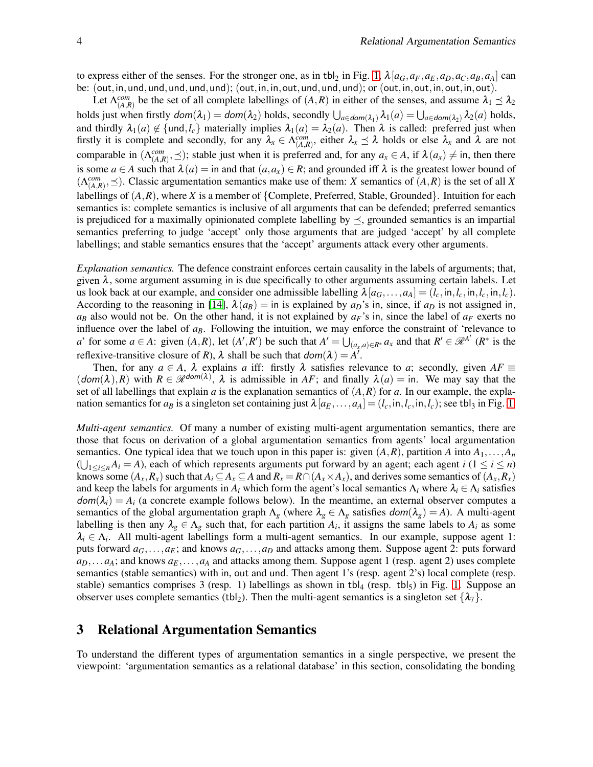to express either of the senses. For the stronger one, as in tbl<sub>2</sub> in Fig. [1,](#page-2-0)  $\lambda [a_G, a_F, a_E, a_D, a_C, a_B, a_A]$  can be: (out,in,und,und,und,und,und); (out,in,in,out,und,und,und); or (out,in,out,in,out,in,out).

Let  $\Lambda_{(A,R)}^{com}$  be the set of all complete labellings of  $(A,R)$  in either of the senses, and assume  $\lambda_1 \leq \lambda_2$ holds just when firstly  $dom(\lambda_1) = dom(\lambda_2)$  holds, secondly  $\bigcup_{a \in dom(\lambda_1)} \lambda_1(a) = \bigcup_{a \in dom(\lambda_2)} \lambda_2(a)$  holds, and thirdly  $\lambda_1(a) \notin \{$ und, $l_c\}$  materially implies  $\lambda_1(a) = \lambda_2(a)$ . Then  $\lambda$  is called: preferred just when firstly it is complete and secondly, for any  $\lambda_x \in \Lambda_{(A,R)}^{com}$ , either  $\lambda_x \preceq \lambda$  holds or else  $\lambda_x$  and  $\lambda$  are not comparable in  $(\Lambda_{(A,R)}^{com}, \preceq)$ ; stable just when it is preferred and, for any  $a_x \in A$ , if  $\lambda(a_x) \neq$  in, then there is some  $a \in A$  such that  $\lambda(a) = \text{in and that } (a, a_x) \in R$ ; and grounded iff  $\lambda$  is the greatest lower bound of  $(\Lambda_{(A,R)}^{com}, \preceq)$ . Classic argumentation semantics make use of them: *X* semantics of  $(\overline{A}, \overline{R})$  is the set of all *X* labellings of (*A*,*R*), where *X* is a member of {Complete, Preferred, Stable, Grounded}. Intuition for each semantics is: complete semantics is inclusive of all arguments that can be defended; preferred semantics is prejudiced for a maximally opinionated complete labelling by  $\preceq$ , grounded semantics is an impartial semantics preferring to judge 'accept' only those arguments that are judged 'accept' by all complete labellings; and stable semantics ensures that the 'accept' arguments attack every other arguments.

*Explanation semantics.* The defence constraint enforces certain causality in the labels of arguments; that, given  $\lambda$ , some argument assuming in is due specifically to other arguments assuming certain labels. Let us look back at our example, and consider one admissible labelling  $\lambda [a_G, \ldots, a_A] = (l_c, \text{in}, l_c, \text{in}, l_c, \text{in}, l_c)$ . According to the reasoning in [\[14\]](#page-9-22),  $\lambda(a_B) = \text{in}$  is explained by  $a_D$ 's in, since, if  $a_D$  is not assigned in,  $a_B$  also would not be. On the other hand, it is not explained by  $a_F$ 's in, since the label of  $a_F$  exerts no influence over the label of *aB*. Following the intuition, we may enforce the constraint of 'relevance to a' for some  $a \in A$ : given  $(A, R)$ , let  $(A', R')$  be such that  $A' = \bigcup_{(a_x, a) \in R^*} a_x$  and that  $R' \in \mathcal{R}^{A'}$   $(R^*$  is the reflexive-transitive closure of *R*),  $\lambda$  shall be such that  $dom(\lambda) = A^T$ .

Then, for any  $a \in A$ ,  $\lambda$  explains *a* iff: firstly  $\lambda$  satisfies relevance to *a*; secondly, given  $AF \equiv$  $(dom(\lambda), R)$  with  $R \in \mathscr{R}^{dom(\lambda)}$ ,  $\lambda$  is admissible in *AF*; and finally  $\lambda(a) =$  in. We may say that the set of all labellings that explain *a* is the explanation semantics of  $(A, R)$  for *a*. In our example, the explanation semantics for  $a_B$  is a singleton set containing just  $\lambda[a_E, \ldots, a_A] = (l_c, \text{in}, l_c, \text{in}, l_c)$ ; see tbl<sub>3</sub> in Fig. [1.](#page-2-0)

*Multi-agent semantics.* Of many a number of existing multi-agent argumentation semantics, there are those that focus on derivation of a global argumentation semantics from agents' local argumentation semantics. One typical idea that we touch upon in this paper is: given  $(A, R)$ , partition  $A$  into  $A_1, \ldots, A_n$  $(\bigcup_{1 \leq i \leq n} A_i = A)$ , each of which represents arguments put forward by an agent; each agent *i*  $(1 \leq i \leq n)$ knows some  $(A_x, R_x)$  such that  $A_i \subseteq A_x \subseteq A$  and  $R_x = R \cap (A_x \times A_x)$ , and derives some semantics of  $(A_x, R_x)$ and keep the labels for arguments in  $A_i$  which form the agent's local semantics  $\Lambda_i$  where  $\lambda_i \in \Lambda_i$  satisfies  $dom(\lambda_i) = A_i$  (a concrete example follows below). In the meantime, an external observer computes a semantics of the global argumentation graph  $\Lambda_g$  (where  $\lambda_g \in \Lambda_g$  satisfies  $dom(\lambda_g) = A$ ). A multi-agent labelling is then any  $\lambda_g \in \Lambda_g$  such that, for each partition  $A_i$ , it assigns the same labels to  $A_i$  as some  $\lambda_i \in \Lambda_i$ . All multi-agent labellings form a multi-agent semantics. In our example, suppose agent 1: puts forward  $a_G$ ,..., $a_E$ ; and knows  $a_G$ ,..., $a_D$  and attacks among them. Suppose agent 2: puts forward  $a_D$ ,...*a*<sub>*A*</sub>; and knows  $a_E$ ,...,*a*<sub>*A*</sub> and attacks among them. Suppose agent 1 (resp. agent 2) uses complete semantics (stable semantics) with in, out and und. Then agent 1's (resp. agent 2's) local complete (resp. stable) semantics comprises 3 (resp. 1) labellings as shown in tbl<sub>4</sub> (resp. tbl<sub>5</sub>) in Fig. [1.](#page-2-0) Suppose an observer uses complete semantics (tbl<sub>2</sub>). Then the multi-agent semantics is a singleton set  $\{\lambda_7\}$ .

### 3 Relational Argumentation Semantics

To understand the different types of argumentation semantics in a single perspective, we present the viewpoint: 'argumentation semantics as a relational database' in this section, consolidating the bonding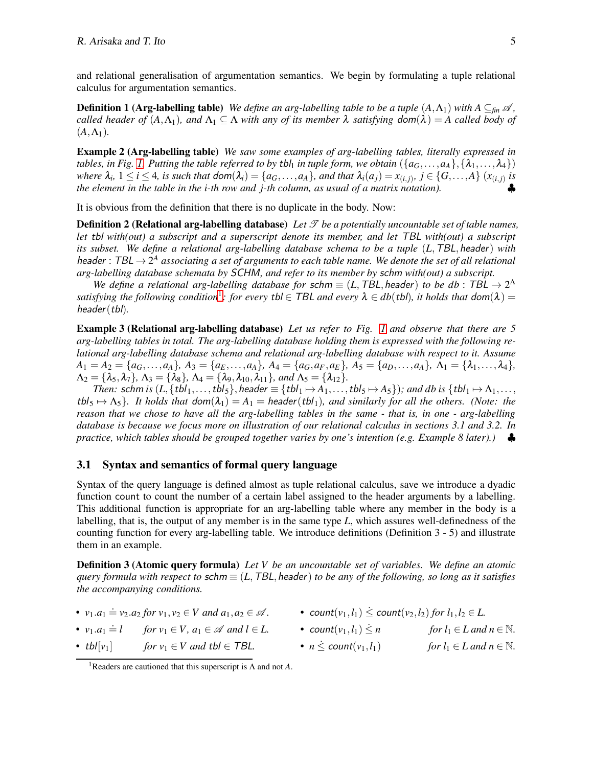and relational generalisation of argumentation semantics. We begin by formulating a tuple relational calculus for argumentation semantics.

**Definition 1 (Arg-labelling table)** *We define an arg-labelling table to be a tuple*  $(A, \Lambda_1)$  *with*  $A \subseteq_{fin} \mathscr{A}$ , *called header of*  $(A, \Lambda_1)$ *, and*  $\Lambda_1 \subseteq \Lambda$  *with any of its member*  $\lambda$  *satisfying dom* $(\lambda) = A$  *called body of*  $(A, \Lambda_1)$ .

Example 2 (Arg-labelling table) *We saw some examples of arg-labelling tables, literally expressed in tables, in Fig. [1.](#page-2-0) Putting the table referred to by tbl<sub>1</sub> in tuple form, we obtain*  $(\{a_G, \ldots, a_A\}, \{\lambda_1, \ldots, \lambda_4\})$ where  $\lambda_i$ ,  $1 \le i \le 4$ , is such that  $dom(\lambda_i) = \{a_G, \ldots, a_A\}$ , and that  $\lambda_i(a_j) = x_{(i,j)}$ ,  $j \in \{G, \ldots, A\}$   $(x_{(i,j)})$  is *the element in the table in the i-th row and j-th column, as usual of a matrix notation).* 

It is obvious from the definition that there is no duplicate in the body. Now:

**Definition 2 (Relational arg-labelling database)** Let  $\mathcal{T}$  be a potentially uncountable set of table names, *let* tbl *with(out) a subscript and a superscript denote its member, and let* TBL *with(out) a subscript its subset. We define a relational arg-labelling database schema to be a tuple* (*L*,TBL,header) *with* header : TBL  $\rightarrow$  2<sup>A</sup> associating a set of arguments to each table name. We denote the set of all relational *arg-labelling database schemata by* SCHM*, and refer to its member by* schm *with(out) a subscript.*

*We define a relational arg-labelling database for schm*  $\equiv$  (*L*, TBL, header) *to be db* : TBL  $\rightarrow$  2<sup> $\Lambda$ </sup> *satisfying the following condition*<sup>1</sup>: for every tbl  $\in$  TBL and every  $\lambda \in db$  (tbl), it holds that  $dom(\lambda)$  = header(tbl)*.*

<span id="page-4-0"></span>Example 3 (Relational arg-labelling database) *Let us refer to Fig. [1](#page-2-0) and observe that there are 5 arg-labelling tables in total. The arg-labelling database holding them is expressed with the following relational arg-labelling database schema and relational arg-labelling database with respect to it. Assume*  $A_1 = A_2 = \{a_G, \ldots, a_A\}, A_3 = \{a_E, \ldots, a_A\}, A_4 = \{a_G, a_F, a_E\}, A_5 = \{a_D, \ldots, a_A\}, \Lambda_1 = \{\lambda_1, \ldots, \lambda_4\},$  $\Lambda_2 = {\lambda_5, \lambda_7}$ ,  $\Lambda_3 = {\lambda_8}$ ,  $\Lambda_4 = {\lambda_9, \lambda_{10}, \lambda_{11}}$ , and  $\Lambda_5 = {\lambda_{12}}$ .

*Then:* schm is  $(L, \{tbI_1, \ldots, tbI_5\}$ , header  $\equiv \{tbI_1 \mapsto A_1, \ldots, tbI_5 \mapsto A_5\}$ ; and db is  $\{tbI_1 \mapsto A_1, \ldots,$  $tbI_5 \mapsto \Lambda_5$ *. It holds that*  $dom(\lambda_1) = A_1 = header(tbl_1)$ *, and similarly for all the others. (Note: the reason that we chose to have all the arg-labelling tables in the same - that is, in one - arg-labelling database is because we focus more on illustration of our relational calculus in sections 3.1 and 3.2. In practice, which tables should be grouped together varies by one's intention (e.g. Example 8 later).)* ♣

#### 3.1 Syntax and semantics of formal query language

Syntax of the query language is defined almost as tuple relational calculus, save we introduce a dyadic function count to count the number of a certain label assigned to the header arguments by a labelling. This additional function is appropriate for an arg-labelling table where any member in the body is a labelling, that is, the output of any member is in the same type *L*, which assures well-definedness of the counting function for every arg-labelling table. We introduce definitions (Definition 3 - 5) and illustrate them in an example.

Definition 3 (Atomic query formula) *Let V be an uncountable set of variables. We define an atomic query formula with respect to schm*  $\equiv$  (*L*, TBL, header) *to be any of the following, so long as it satisfies the accompanying conditions.*

- 
- $v_1.a_1 = l$  for  $v_1 \in V$ ,  $a_1 \in \mathcal{A}$  and  $l \in L$ . count $(v_1, l_1) \leq n$  for  $l_1 \in L$  and  $n \in \mathbb{N}$ .
- *tbl*[ $v_1$ ] *for*  $v_1 \in V$  *and tbl*  $\in$  *TBL.*
- $v_1 \cdot a_1 = v_2 \cdot a_2$  *for*  $v_1, v_2 \in V$  *and*  $a_1, a_2 \in \mathcal{A}$ . **count** $(v_1, l_1) \le$  **count** $(v_2, l_2)$  *for*  $l_1, l_2 \in L$ .
	-
	- $n \leq \text{count}(v_1, l_1)$  *for*  $l_1 \in L$  *and*  $n \in \mathbb{N}$ .

<sup>1</sup>Readers are cautioned that this superscript is Λ and not *A*.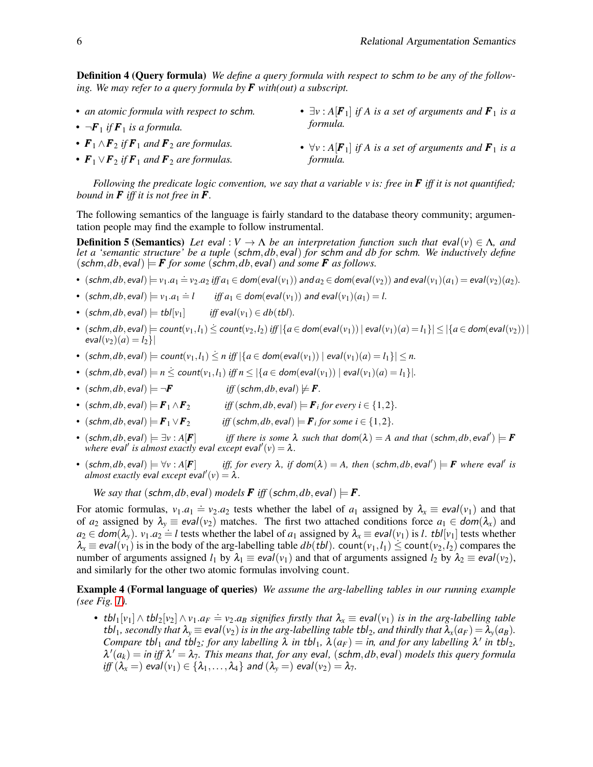Definition 4 (Query formula) *We define a query formula with respect to* schm *to be any of the following. We may refer to a query formula by F with(out) a subscript.*

• *an atomic formula with respect to* schm*.* •  $\neg F_1$  *if*  $F_1$  *is a formula.* •  $\mathbf{F}_1 \wedge \mathbf{F}_2$  *if*  $\mathbf{F}_1$  *and*  $\mathbf{F}_2$  *are formulas.* •  $\mathbf{F}_1 \vee \mathbf{F}_2$  *if*  $\mathbf{F}_1$  *and*  $\mathbf{F}_2$  *are formulas.* •  $\exists v : A[F_1]$  *if A is a set of arguments and*  $F_1$  *is a formula.* •  $\forall v : A$ [ $\mathbf{F}_1$ ] *if A is a set of arguments and*  $\mathbf{F}_1$  *is a formula.*

*Following the predicate logic convention, we say that a variable v is: free in F iff it is not quantified; bound in F iff it is not free in F.*

The following semantics of the language is fairly standard to the database theory community; argumentation people may find the example to follow instrumental.

**Definition 5 (Semantics)** Let eval :  $V \to \Lambda$  be an interpretation function such that eval( $v$ )  $\in \Lambda$ , and *let a 'semantic structure' be a tuple* (schm,*db*,eval) *for* schm *and db for* schm*. We inductively define*  $(\textit{schm}, db, \textit{eval}) \models \mathbf{F}$  for some  $(\textit{schm}, db, \textit{eval})$  *and some* **F** *as follows.* 

- $(\text{schm}, db, \text{eval}) \models v_1.a_1 \doteq v_2.a_2 \text{ iff } a_1 \in \text{dom}(\text{eval}(v_1)) \text{ and } a_2 \in \text{dom}(\text{eval}(v_2)) \text{ and } \text{eval}(v_1)(a_1) = \text{eval}(v_2)(a_2).$
- $(\text{schm}, db, \text{eval}) \models v_1.a_1 = l$  *iff*  $a_1 \in \text{dom}(\text{eval}(v_1))$  and  $\text{eval}(v_1)(a_1) = l$ .
- (schm,  $db$ , eval)  $\models$  tbl $[v_1]$  *iff* eval $(v_1) \in db$ (tbl).
- (schm,*db*, eval)  $\models$  count( $v_1, l_1$ )  $\le$  count( $v_2, l_2$ ) iff  $|{a \in dom(eval(v_1))|}$  eval( $v_1$ )( $a$ ) =  $l_1$ }  $\le |{a \in dom(eval(v_2))|}$  $eval(v_2)(a) = l_2$
- (schm, db, eval)  $\models$  count $(v_1, l_1) \leq n$  iff  $|\{a \in \text{dom}(\text{eval}(v_1))| \text{ eval}(v_1)(a) = l_1\}| \leq n$ .
- (schm,  $db$ , eval)  $\models n \leq \text{count}(v_1, l_1)$  *iff*  $n \leq |\{a \in \text{dom}(\text{eval}(v_1))| \text{ eval}(v_1)(a) = l_1\}|$ .
- (schm,  $db$ , eval)  $\models \neg \mathbf{F}$  iff (schm,  $db$ , eval)  $\models \mathbf{F}$ .
- (schm, db, eval)  $\models$   $\bm{F}_1 \wedge \bm{F}_2$ *iff* (schm, *db*, eval)  $\models$  **F**<sub>*i*</sub> for every *i*  $\in$  {1,2}*.*
- (schm, *db*, eval)  $\models$   $\mathbf{F}_1 \vee \mathbf{F}_2$ *iff* (schm, *db*, eval)  $\models$  **F**<sub>i</sub> for some  $i \in \{1,2\}$ .
- (schm,*db*,eval)  $\models \exists v : A[F]$  *iff there is some*  $\lambda$  *such that*  $dom(\lambda) = A$  *and that* (schm,*db*,eval')  $\models$  **F** where eval' is almost exactly eval except eval' $(v) = \lambda$ .
- (schm,*db*, eval)  $\models \forall v : A[F]$  *iff, for every* λ, *if* dom(λ) = A, then (schm,*db*, eval')  $\models$  *F* where eval' *is*  $\alpha$ *dmost exactly eval except eval'* $(v) = \lambda$ .

*We say that* (schm, *db*, eval) *models*  $\boldsymbol{F}$  *iff* (schm, *db*, eval)  $\models \boldsymbol{F}$ .

For atomic formulas,  $v_1.a_1 = v_2.a_2$  tests whether the label of  $a_1$  assigned by  $\lambda_x \equiv \frac{eval(v_1)}{d}$  and that of  $a_2$  assigned by  $\lambda_y \equiv \frac{eval(v_2)}{}$  matches. The first two attached conditions force  $a_1 \in \text{dom}(\lambda_x)$  and  $a_2 \in \text{dom}(\lambda_y)$ .  $v_1 \cdot a_2 = l$  tests whether the label of  $a_1$  assigned by  $\lambda_x \equiv \text{eval}(v_1)$  is *l. tbl*[*v*<sub>1</sub>] tests whether  $\lambda_x \equiv \text{eval}(v_1)$  is in the body of the arg-labelling table  $db(tbl)$ . count $(v_1, l_1) \leq \text{count}(v_2, l_2)$  compares the number of arguments assigned  $l_1$  by  $\lambda_1 \equiv eval(v_1)$  and that of arguments assigned  $l_2$  by  $\lambda_2 \equiv eval(v_2)$ , and similarly for the other two atomic formulas involving count.

### Example 4 (Formal language of queries) *We assume the arg-labelling tables in our running example (see Fig. [1\)](#page-2-0).*

• tbl<sub>1</sub>[*v*<sub>1</sub>] ∧ tbl<sub>2</sub>[*v*<sub>2</sub>] ∧ *v*<sub>1</sub>.*a<sub>F</sub>* = *v*<sub>2</sub>.*a<sub>B</sub> signifies firstly that*  $\lambda_x$  ≡ eval(*v*<sub>1</sub>) *is in the arg-labelling table*  $tbl_1$ , secondly that  $\lambda_v \equiv \text{eval}(v_2)$  is in the arg-labelling table  $tbl_2$ , and thirdly that  $\lambda_x(a_F) = \lambda_y(a_B)$ . *Compare* tbl<sub>1</sub> and tbl<sub>2</sub>; for any labelling  $\lambda$  in tbl<sub>1</sub>,  $\lambda(a_F) = in$ , and for any labelling  $\lambda'$  in tbl<sub>2</sub>,  $\lambda'(a_k) = \text{in iff } \lambda' = \lambda_7$ . This means that, for any eval, (schm, db, eval) models this query formula *iff*  $(\lambda_x =)$  eval $(v_1) \in {\lambda_1, \ldots, \lambda_4}$  and  $(\lambda_y =)$  eval $(v_2) = \lambda_7$ .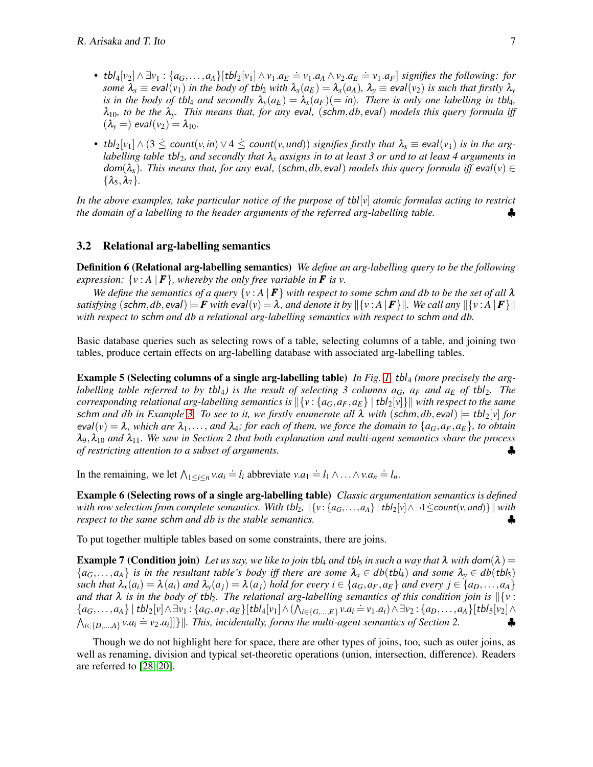- tbl<sub>4</sub>[v<sub>2</sub>]  $\wedge \exists v_1 : \{a_G, \ldots, a_A\}$ [tbl<sub>2</sub>[v<sub>1</sub>]  $\wedge v_1 \cdot a_E = v_1 \cdot a_A \wedge v_2 \cdot a_E = v_1 \cdot a_F$ ] signifies the following: for *some*  $\lambda_x \equiv \text{eval}(v_1)$  *in the body of tbl<sub>2</sub> with*  $\lambda_x(a_E) = \lambda_x(a_A)$ ,  $\lambda_y \equiv \text{eval}(v_2)$  *is such that firstly*  $\lambda_y$ *is in the body of tbl<sub>4</sub> and secondly*  $\lambda_y(a_E) = \lambda_x(a_F)(=in)$ *. There is only one labelling in tbl<sub>4</sub>,*  $\lambda_{10}$ , to be the  $\lambda_y$ . This means that, for any eval, (schm, db, eval) models this query formula iff  $(\lambda_v =)$  eval $(v_2) = \lambda_{10}$ .
- tbl<sub>2</sub>[ $v_1$ ]  $\wedge$  (3  $\leq$  count( $v$ , in)  $\vee$  4  $\leq$  count( $v$ , und)) signifies firstly that  $\lambda_x \equiv$  eval( $v_1$ ) is in the arg*labelling table* tbl<sub>2</sub>, and secondly that  $\lambda_x$  assigns in to at least 3 or und to at least 4 arguments in  $dom(\lambda_x)$ . This means that, for any eval, (schm, db, eval) models this query formula iff eval(v)  $\in$  $\{\lambda_5, \lambda_7\}$ .

In the above examples, take particular notice of the purpose of tbl<sup>[</sup>v] atomic formulas acting to restrict *the domain of a labelling to the header arguments of the referred arg-labelling table.* 

#### 3.2 Relational arg-labelling semantics

Definition 6 (Relational arg-labelling semantics) *We define an arg-labelling query to be the following expression:*  $\{v : A \mid F\}$ *, whereby the only free variable in F is v.* 

*We define the semantics of a query*  $\{v : A \mid F\}$  *with respect to some schm and db to be the set of all*  $\lambda$ *satisfying*  $(\text{schm}, db, \text{eval}) \models \mathbf{F}$  with  $\text{eval}(v) = \lambda$ , and denote it by  $\|\{v : A \mid \mathbf{F}\}\|$ . We call any  $\|\{v : A \mid \mathbf{F}\}\|$ *with respect to* schm *and db a relational arg-labelling semantics with respect to* schm *and db.*

<span id="page-6-1"></span>Basic database queries such as selecting rows of a table, selecting columns of a table, and joining two tables, produce certain effects on arg-labelling database with associated arg-labelling tables.

**Example 5 (Selecting columns of a single arg-labelling table)** In Fig. [1,](#page-2-0) tbl<sub>4</sub> (more precisely the arg*labelling table referred to by tbl<sub>4</sub>) is the result of selecting 3 columns*  $a_G$ *,*  $a_F$  *and*  $a_E$  *of tbl<sub>2</sub>. The corresponding relational arg-labelling semantics is*  $\left|\left\{v : \{a_G, a_F, a_E\} \mid \text{tbl}_2[v]\right\}\right|$  *with respect to the same* schm and db in Example [3.](#page-4-0) To see to it, we firstly enumerate all  $\lambda$  with (schm, db, eval)  $=$  tbl<sub>2</sub>[*v*] for  $eval(v) = \lambda$ , which are  $\lambda_1, \ldots,$  and  $\lambda_4$ ; for each of them, we force the domain to  $\{a_G, a_F, a_E\}$ , to obtain  $\lambda_9, \lambda_{10}$  *and*  $\lambda_{11}$ *. We saw in Section 2 that both explanation and multi-agent semantics share the process of restricting attention to a subset of arguments. of restricting attention to a subset of arguments.* 

<span id="page-6-0"></span>In the remaining, we let  $\bigwedge_{1 \leq i \leq n} v.a_i = l_i$  abbreviate  $v.a_1 = l_1 \wedge ... \wedge v.a_n = l_n$ .

Example 6 (Selecting rows of a single arg-labelling table) *Classic argumentation semantics is defined with row selection from complete semantics. With tbl<sub>2</sub>,*  $\|\{v : \{a_G, \ldots, a_A\} \mid \text{tbl}_2[v] \wedge \neg 1 \leq \text{count}(v, \text{und})\}\|$  with *respect to the same schm and db is the stable <i>semantics. respect to the same schm and db is the stable semantics.* 

<span id="page-6-2"></span>To put together multiple tables based on some constraints, there are joins.

**Example 7 (Condition join)** Let us say, we like to join tbl<sub>4</sub> and tbl<sub>5</sub> in such a way that  $\lambda$  with dom( $\lambda$ ) =  ${a_G,\ldots,a_A}$  *is in the resultant table's body iff there are some*  $\lambda_x \in db(tbl_4)$  *and some*  $\lambda_y \in db(tbl_5)$ such that  $\lambda_x(a_i) = \lambda(a_i)$  and  $\lambda_y(a_j) = \lambda(a_j)$  hold for every  $i \in \{a_G, a_F, a_E\}$  and every  $j \in \{a_D, \ldots, a_A\}$ *and that*  $\lambda$  *is in the body of tbl<sub>2</sub>. The relational arg-labelling semantics of this condition join is*  $\|\{v :$  ${a_G, \ldots, a_A}$  | tbl<sub>2</sub>[v]  $\land \exists v_1 : {a_G, a_F, a_E}$ [tbl<sub>4</sub>[v<sub>1</sub>]  $\land$  ( $\bigwedge_{i \in \{G, \ldots, E\}} v.a_i = v_1.a_i$ )  $\land \exists v_2 : {a_D, \ldots, a_A}$ [tbl<sub>5</sub>[v<sub>2</sub>]  $\land$  $\bigwedge_{i \in \{D,\ldots,A\}} v.a_i = v_2.a_i$  | |} ||. This, incidentally, forms the multi-agent semantics of Section 2.

Though we do not highlight here for space, there are other types of joins, too, such as outer joins, as well as renaming, division and typical set-theoretic operations (union, intersection, difference). Readers are referred to [\[28,](#page-9-19) [20\]](#page-9-20).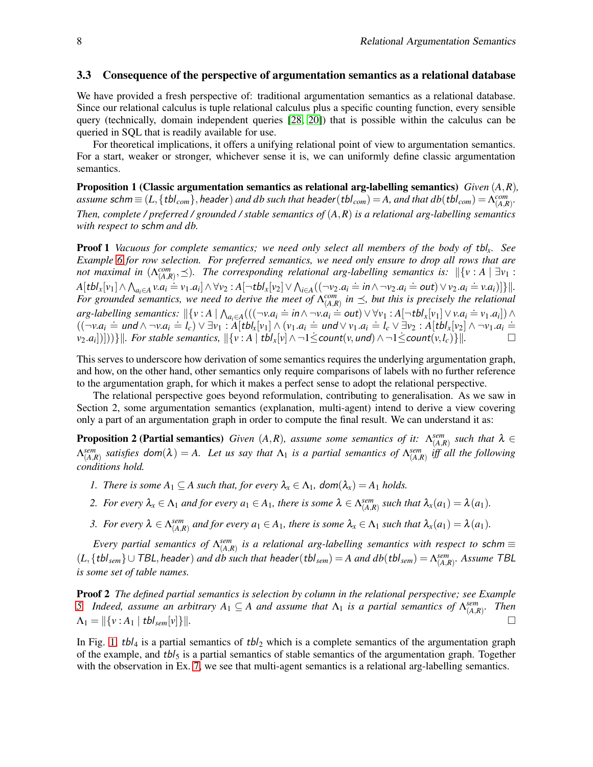#### 3.3 Consequence of the perspective of argumentation semantics as a relational database

We have provided a fresh perspective of: traditional argumentation semantics as a relational database. Since our relational calculus is tuple relational calculus plus a specific counting function, every sensible query (technically, domain independent queries [\[28,](#page-9-19) [20\]](#page-9-20)) that is possible within the calculus can be queried in SQL that is readily available for use.

For theoretical implications, it offers a unifying relational point of view to argumentation semantics. For a start, weaker or stronger, whichever sense it is, we can uniformly define classic argumentation semantics.

Proposition 1 (Classic argumentation semantics as relational arg-labelling semantics) *Given* (*A*,*R*)*,*  $a$ *ssume*  $\mathsf{schm} \equiv (L, \{\mathsf{tbl}_{\mathsf{com}}\},\mathsf{header})$  *and*  $\mathsf{db}$  *such that*  $\mathsf{header}(\mathsf{tbl}_{\mathsf{com}}) = A$ , and that  $\mathsf{db}(\mathsf{tbl}_{\mathsf{com}}) = \Lambda_{(A,R)}^{com}$ . *Then, complete / preferred / grounded / stable semantics of* (*A*,*R*) *is a relational arg-labelling semantics with respect to* schm *and db.*

Proof 1 *Vacuous for complete semantics; we need only select all members of the body of* tbl*x. See Example [6](#page-6-0) for row selection. For preferred semantics, we need only ensure to drop all rows that are not maximal in*  $(\Lambda_{(A,R)}^{com}, \preceq)$ *. The corresponding relational arg-labelling semantics is:*  $\mathbb{I}\{v : A \mid \exists v_1 : A \in \mathbb{N}\}$  $A[tbl_x[v_1] \wedge \bigwedge_{a_i \in A} v.a_i = v_1.a_i] \wedge \forall v_2 : A[\neg \text{tbl}_x[v_2] \vee \bigwedge_{i \in A} ((\neg v_2.a_i = in \wedge \neg v_2.a_i = out) \vee v_2.a_i = v.a_i)]\}||.$ <br>For grounded semantics, we need to derive the meet of  $\Lambda_{(A,R)}^{com}$  in  $\preceq$ , but this is precisely the relati  $arg\text{-}labelling \text{ semantics: } \|\{v : A \mid \bigwedge_{a_i \in A} ((\neg v.a_i = in \land \neg v.a_i = out) \lor \forall v_1 : A[\neg \text{ }tb]_x[v_1] \lor v.a_i = v_1.a_i] \land \dots \}$  $((\neg v.a_i = und \wedge \neg v.a_i = l_c) \vee \exists v_1 : A[tb]_x[v_1] \wedge (v_1.a_i = und \vee v_1.a_i = l_c \vee \exists v_2 : A[tb]_x[v_2] \wedge \neg v_1.a_i =$  $\mathcal{V}_2$ .*a*<sub>*i*</sub>))]))} $\|$ *. For stable semantics,*  $\|\{v : A \mid tbI_x[v] \wedge \neg 1 \leq count(v, und) \wedge \neg 1 \leq count(v, I_c)\}\|$ .

This serves to underscore how derivation of some semantics requires the underlying argumentation graph, and how, on the other hand, other semantics only require comparisons of labels with no further reference to the argumentation graph, for which it makes a perfect sense to adopt the relational perspective.

The relational perspective goes beyond reformulation, contributing to generalisation. As we saw in Section 2, some argumentation semantics (explanation, multi-agent) intend to derive a view covering only a part of an argumentation graph in order to compute the final result. We can understand it as:

**Proposition 2 (Partial semantics)** *Given*  $(A, R)$ *, assume some semantics of it:*  $\Lambda_{(A, R)}^{sem}$  *such that*  $\lambda \in$  $\Lambda_{(A,R)}^{sem}$  satisfies dom $(\lambda) = A$ . Let us say that  $\Lambda_1$  is a partial semantics of  $\Lambda_{(A,R)}^{sem}$  iff all the following *conditions hold.*

- *1. There is some*  $A_1 \subseteq A$  *such that, for every*  $\lambda_x \in \Lambda_1$ ,  $dom(\lambda_x) = A_1$  *holds.*
- 2. For every  $\lambda_x \in \Lambda_1$  and for every  $a_1 \in A_1$ , there is some  $\lambda \in \Lambda_{(A,R)}^{sem}$  such that  $\lambda_x(a_1) = \lambda(a_1)$ .
- *3. For every*  $\lambda \in \Lambda_{(A,R)}^{sem}$  and for every  $a_1 \in A_1$ , there is some  $\lambda_x \in \Lambda_1$  such that  $\lambda_x(a_1) = \lambda(a_1)$ .

*Every partial semantics of*  $\Lambda_{(A,R)}^{sem}$  *is a relational arg-labelling semantics with respect to* schm  $\equiv$ (*L*,{tbl*sem*}∪TBL,header) *and db such that* header(tbl*sem*) = *A and db*(tbl*sem*) = <sup>Λ</sup> *sem* (*A*,*R*) *. Assume* TBL *is some set of table names.*

Proof 2 *The defined partial semantics is selection by column in the relational perspective; see Example [5.](#page-6-1) Indeed, assume an arbitrary*  $A_1 \subseteq A$  *and assume that*  $\Lambda_1$  *is a partial semantics of*  $\Lambda_{(A,R)}^{sem}$ *. Then*  $\Lambda_1 = ||\{v : A_1 | \text{tbl}_{sem}[v]\}||.$ 

In Fig. [1,](#page-2-0) tbl<sub>4</sub> is a partial semantics of tbl<sub>2</sub> which is a complete semantics of the argumentation graph of the example, and  $tbl<sub>5</sub>$  is a partial semantics of stable semantics of the argumentation graph. Together with the observation in Ex. [7,](#page-6-2) we see that multi-agent semantics is a relational arg-labelling semantics.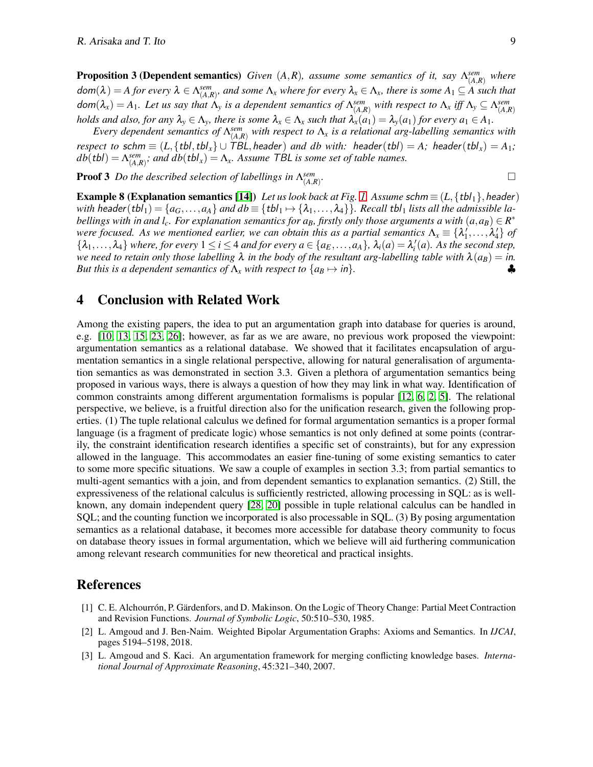**Proposition 3 (Dependent semantics)** *Given*  $(A, R)$ *, assume some semantics of it, say*  $\Lambda_{(A, R)}^{sem}$  *where*  $dom(\lambda) = A$  for every  $\lambda \in \Lambda_{(A,R)}^{sem}$ , and some  $\Lambda_x$  where for every  $\lambda_x \in \Lambda_x$ , there is some  $A_1 \subseteq A$  such that  $dom(\lambda_x) = A_1.$  Let us say that  $\Lambda_y$  is a dependent semantics of  $\Lambda_{(A,R)}^{sem}$  with respect to  $\Lambda_x$  iff  $\Lambda_y \subseteq \Lambda_{(A,R)}^{sem}$ *holds and also, for any*  $\lambda_y \in \Lambda_y$ *, there is some*  $\lambda_x \in \Lambda_x$  *such that*  $\lambda_x(a_1) = \lambda_y(a_1)$  *for every*  $a_1 \in A_1$ *.* 

*Every dependent semantics of*  $\Lambda_{(A,R)}^{sem}$  *with respect to*  $\Lambda_x$  *is a relational arg-labelling semantics with respect to* schm  $\equiv$  (*L*, {tbl, tbl<sub>x</sub>}  $\cup$  TBL, header) and db with: header(tbl) = A; header(tbl<sub>x</sub>) = A<sub>1</sub>;  $db(tbl) = \Lambda^{sem}_{(A,R)}$ ; and  $db(tbl_x) = \Lambda_x$ . Assume TBL is some set of table names.

Proof 3 *Do the described selection of labellings in* Λ *sem* (*A*,*R*) *.*

**Example 8 (Explanation semantics [\[14\]](#page-9-22))** *Let us look back at Fig. [1.](#page-2-0) Assume schm*  $\equiv$  (*L*, {tbl<sub>1</sub>}, header) *with header*( $tbI_1$ ) = { $a_G$ ,..., $a_A$ } *and*  $db \equiv \{tbI_1 \mapsto \{\lambda_1,\ldots,\lambda_4\}\}$ *. Recall tbl<sub>1</sub> <i>lists all the admissible labellings with in and l<sub>c</sub>. For explanation semantics for*  $a_B$ *, firstly only those arguments a with*  $(a, a_B) \in R^*$ *were focused. As we mentioned earlier, we can obtain this as a partial semantics*  $\Lambda_x \equiv \{\lambda'_1, \dots, \lambda'_4\}$  *of*  $\{\lambda_1, \ldots, \lambda_4\}$  where, for every  $1 \leq i \leq 4$  and for every  $a \in \{a_E, \ldots, a_A\}$ ,  $\lambda_i(a) = \lambda'_i(a)$ . As the second step, *we need to retain only those labelling*  $\lambda$  *in the body of the resultant arg-labelling table with*  $\lambda(a_B) = in$ . *But this is a dependent semantics of*  $\Lambda_x$  *with respect to*  $\{a_B \mapsto in\}$ *.* 

# 4 Conclusion with Related Work

Among the existing papers, the idea to put an argumentation graph into database for queries is around, e.g. [\[10,](#page-9-13) [13,](#page-9-23) [15,](#page-9-16) [23,](#page-9-15) [26\]](#page-9-14); however, as far as we are aware, no previous work proposed the viewpoint: argumentation semantics as a relational database. We showed that it facilitates encapsulation of argumentation semantics in a single relational perspective, allowing for natural generalisation of argumentation semantics as was demonstrated in section 3.3. Given a plethora of argumentation semantics being proposed in various ways, there is always a question of how they may link in what way. Identification of common constraints among different argumentation formalisms is popular [\[12,](#page-9-0) [6,](#page-9-24) [2,](#page-8-2) [5\]](#page-9-25). The relational perspective, we believe, is a fruitful direction also for the unification research, given the following properties. (1) The tuple relational calculus we defined for formal argumentation semantics is a proper formal language (is a fragment of predicate logic) whose semantics is not only defined at some points (contrarily, the constraint identification research identifies a specific set of constraints), but for any expression allowed in the language. This accommodates an easier fine-tuning of some existing semantics to cater to some more specific situations. We saw a couple of examples in section 3.3; from partial semantics to multi-agent semantics with a join, and from dependent semantics to explanation semantics. (2) Still, the expressiveness of the relational calculus is sufficiently restricted, allowing processing in SQL: as is wellknown, any domain independent query [\[28,](#page-9-19) [20\]](#page-9-20) possible in tuple relational calculus can be handled in SQL; and the counting function we incorporated is also processable in SQL. (3) By posing argumentation semantics as a relational database, it becomes more accessible for database theory community to focus on database theory issues in formal argumentation, which we believe will aid furthering communication among relevant research communities for new theoretical and practical insights.

## References

- <span id="page-8-0"></span>[1] C. E. Alchourrón, P. Gärdenfors, and D. Makinson. On the Logic of Theory Change: Partial Meet Contraction and Revision Functions. *Journal of Symbolic Logic*, 50:510–530, 1985.
- <span id="page-8-2"></span>[2] L. Amgoud and J. Ben-Naim. Weighted Bipolar Argumentation Graphs: Axioms and Semantics. In *IJCAI*, pages 5194–5198, 2018.
- <span id="page-8-1"></span>[3] L. Amgoud and S. Kaci. An argumentation framework for merging conflicting knowledge bases. *International Journal of Approximate Reasoning*, 45:321–340, 2007.